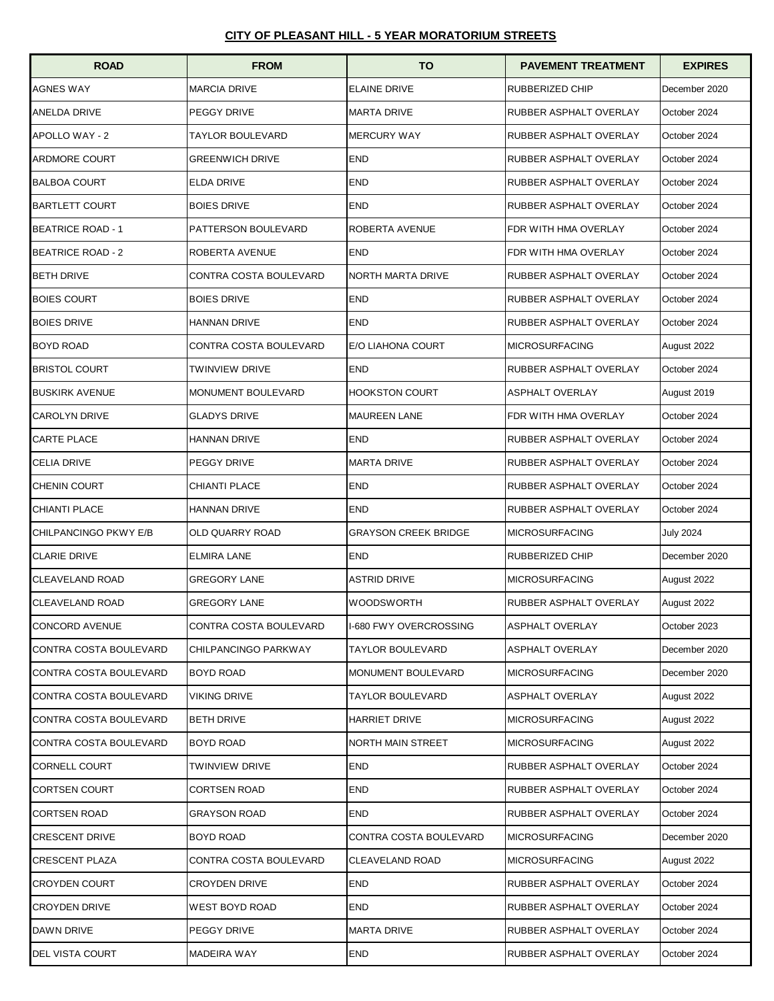| <b>ROAD</b>              | <b>FROM</b>            | <b>TO</b>                     | <b>PAVEMENT TREATMENT</b> | <b>EXPIRES</b>   |
|--------------------------|------------------------|-------------------------------|---------------------------|------------------|
| <b>AGNES WAY</b>         | <b>MARCIA DRIVE</b>    | <b>ELAINE DRIVE</b>           | RUBBERIZED CHIP           | December 2020    |
| <b>ANELDA DRIVE</b>      | PEGGY DRIVE            | <b>MARTA DRIVE</b>            | RUBBER ASPHALT OVERLAY    | October 2024     |
| <b>APOLLO WAY - 2</b>    | TAYLOR BOULEVARD       | <b>MERCURY WAY</b>            | RUBBER ASPHALT OVERLAY    | October 2024     |
| <b>ARDMORE COURT</b>     | <b>GREENWICH DRIVE</b> | <b>END</b>                    | RUBBER ASPHALT OVERLAY    | October 2024     |
| <b>BALBOA COURT</b>      | <b>ELDA DRIVE</b>      | <b>END</b>                    | RUBBER ASPHALT OVERLAY    | October 2024     |
| <b>BARTLETT COURT</b>    | <b>BOIES DRIVE</b>     | <b>END</b>                    | RUBBER ASPHALT OVERLAY    | October 2024     |
| <b>BEATRICE ROAD - 1</b> | PATTERSON BOULEVARD    | ROBERTA AVENUE                | FDR WITH HMA OVERLAY      | October 2024     |
| <b>BEATRICE ROAD - 2</b> | ROBERTA AVENUE         | <b>END</b>                    | FDR WITH HMA OVERLAY      | October 2024     |
| <b>BETH DRIVE</b>        | CONTRA COSTA BOULEVARD | NORTH MARTA DRIVE             | RUBBER ASPHALT OVERLAY    | October 2024     |
| <b>BOIES COURT</b>       | <b>BOIES DRIVE</b>     | <b>END</b>                    | RUBBER ASPHALT OVERLAY    | October 2024     |
| <b>BOIES DRIVE</b>       | HANNAN DRIVE           | <b>END</b>                    | RUBBER ASPHALT OVERLAY    | October 2024     |
| <b>BOYD ROAD</b>         | CONTRA COSTA BOULEVARD | E/O LIAHONA COURT             | <b>MICROSURFACING</b>     | August 2022      |
| <b>BRISTOL COURT</b>     | TWINVIEW DRIVE         | <b>END</b>                    | RUBBER ASPHALT OVERLAY    | October 2024     |
| <b>BUSKIRK AVENUE</b>    | MONUMENT BOULEVARD     | <b>HOOKSTON COURT</b>         | <b>ASPHALT OVERLAY</b>    | August 2019      |
| <b>CAROLYN DRIVE</b>     | <b>GLADYS DRIVE</b>    | <b>MAUREEN LANE</b>           | FDR WITH HMA OVERLAY      | October 2024     |
| <b>CARTE PLACE</b>       | <b>HANNAN DRIVE</b>    | <b>END</b>                    | RUBBER ASPHALT OVERLAY    | October 2024     |
| <b>CELIA DRIVE</b>       | PEGGY DRIVE            | <b>MARTA DRIVE</b>            | RUBBER ASPHALT OVERLAY    | October 2024     |
| <b>CHENIN COURT</b>      | CHIANTI PLACE          | <b>END</b>                    | RUBBER ASPHALT OVERLAY    | October 2024     |
| <b>CHIANTI PLACE</b>     | <b>HANNAN DRIVE</b>    | <b>END</b>                    | RUBBER ASPHALT OVERLAY    | October 2024     |
| CHILPANCINGO PKWY E/B    | OLD QUARRY ROAD        | <b>GRAYSON CREEK BRIDGE</b>   | <b>MICROSURFACING</b>     | <b>July 2024</b> |
| <b>CLARIE DRIVE</b>      | ELMIRA LANE            | <b>END</b>                    | RUBBERIZED CHIP           | December 2020    |
| <b>CLEAVELAND ROAD</b>   | <b>GREGORY LANE</b>    | <b>ASTRID DRIVE</b>           | <b>MICROSURFACING</b>     | August 2022      |
| <b>CLEAVELAND ROAD</b>   | <b>GREGORY LANE</b>    | <b>WOODSWORTH</b>             | RUBBER ASPHALT OVERLAY    | August 2022      |
| <b>CONCORD AVENUE</b>    | CONTRA COSTA BOULEVARD | <b>I-680 FWY OVERCROSSING</b> | ASPHALT OVERLAY           | October 2023     |
| CONTRA COSTA BOULEVARD   | CHILPANCINGO PARKWAY   | TAYLOR BOULEVARD              | ASPHALT OVERLAY           | December 2020    |
| CONTRA COSTA BOULEVARD   | BOYD ROAD              | MONUMENT BOULEVARD            | <b>MICROSURFACING</b>     | December 2020    |
| CONTRA COSTA BOULEVARD   | VIKING DRIVE           | TAYLOR BOULEVARD              | ASPHALT OVERLAY           | August 2022      |
| CONTRA COSTA BOULEVARD   | <b>BETH DRIVE</b>      | <b>HARRIET DRIVE</b>          | <b>MICROSURFACING</b>     | August 2022      |
| CONTRA COSTA BOULEVARD   | BOYD ROAD              | NORTH MAIN STREET             | <b>MICROSURFACING</b>     | August 2022      |
| <b>CORNELL COURT</b>     | TWINVIEW DRIVE         | <b>END</b>                    | RUBBER ASPHALT OVERLAY    | October 2024     |
| <b>CORTSEN COURT</b>     | CORTSEN ROAD           | <b>END</b>                    | RUBBER ASPHALT OVERLAY    | October 2024     |
| <b>CORTSEN ROAD</b>      | GRAYSON ROAD           | <b>END</b>                    | RUBBER ASPHALT OVERLAY    | October 2024     |
| <b>CRESCENT DRIVE</b>    | BOYD ROAD              | CONTRA COSTA BOULEVARD        | <b>MICROSURFACING</b>     | December 2020    |
| <b>CRESCENT PLAZA</b>    | CONTRA COSTA BOULEVARD | CLEAVELAND ROAD               | <b>MICROSURFACING</b>     | August 2022      |
| <b>CROYDEN COURT</b>     | CROYDEN DRIVE          | <b>END</b>                    | RUBBER ASPHALT OVERLAY    | October 2024     |
| <b>CROYDEN DRIVE</b>     | WEST BOYD ROAD         | END                           | RUBBER ASPHALT OVERLAY    | October 2024     |
| DAWN DRIVE               | PEGGY DRIVE            | <b>MARTA DRIVE</b>            | RUBBER ASPHALT OVERLAY    | October 2024     |
| <b>DEL VISTA COURT</b>   | MADEIRA WAY            | END                           | RUBBER ASPHALT OVERLAY    | October 2024     |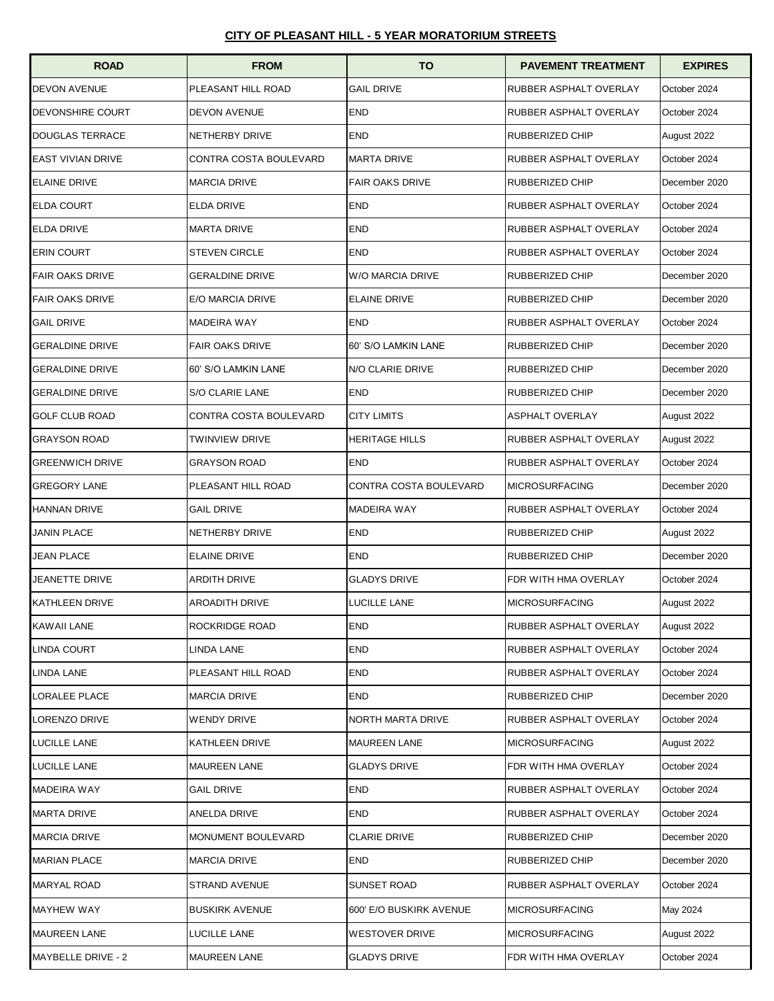| <b>ROAD</b>              | <b>FROM</b>            | <b>TO</b>                | <b>PAVEMENT TREATMENT</b>     | <b>EXPIRES</b> |
|--------------------------|------------------------|--------------------------|-------------------------------|----------------|
| <b>DEVON AVENUE</b>      | PLEASANT HILL ROAD     | <b>GAIL DRIVE</b>        | RUBBER ASPHALT OVERLAY        | October 2024   |
| <b>DEVONSHIRE COURT</b>  | DEVON AVENUE           | <b>END</b>               | RUBBER ASPHALT OVERLAY        | October 2024   |
| <b>DOUGLAS TERRACE</b>   | NETHERBY DRIVE         | <b>END</b>               | RUBBERIZED CHIP               | August 2022    |
| <b>EAST VIVIAN DRIVE</b> | CONTRA COSTA BOULEVARD | <b>MARTA DRIVE</b>       | RUBBER ASPHALT OVERLAY        | October 2024   |
| <b>ELAINE DRIVE</b>      | <b>MARCIA DRIVE</b>    | <b>FAIR OAKS DRIVE</b>   | RUBBERIZED CHIP               | December 2020  |
| <b>ELDA COURT</b>        | <b>ELDA DRIVE</b>      | <b>END</b>               | RUBBER ASPHALT OVERLAY        | October 2024   |
| <b>ELDA DRIVE</b>        | <b>MARTA DRIVE</b>     | <b>END</b>               | RUBBER ASPHALT OVERLAY        | October 2024   |
| <b>ERIN COURT</b>        | <b>STEVEN CIRCLE</b>   | <b>END</b>               | RUBBER ASPHALT OVERLAY        | October 2024   |
| <b>FAIR OAKS DRIVE</b>   | <b>GERALDINE DRIVE</b> | W/O MARCIA DRIVE         | RUBBERIZED CHIP               | December 2020  |
| <b>FAIR OAKS DRIVE</b>   | E/O MARCIA DRIVE       | <b>ELAINE DRIVE</b>      | RUBBERIZED CHIP               | December 2020  |
| <b>GAIL DRIVE</b>        | <b>MADEIRA WAY</b>     | <b>END</b>               | RUBBER ASPHALT OVERLAY        | October 2024   |
| <b>GERALDINE DRIVE</b>   | <b>FAIR OAKS DRIVE</b> | 60' S/O LAMKIN LANE      | RUBBERIZED CHIP               | December 2020  |
| GERALDINE DRIVE          | 60' S/O LAMKIN LANE    | N/O CLARIE DRIVE         | RUBBERIZED CHIP               | December 2020  |
| <b>GERALDINE DRIVE</b>   | S/O CLARIE LANE        | <b>END</b>               | RUBBERIZED CHIP               | December 2020  |
| <b>GOLF CLUB ROAD</b>    | CONTRA COSTA BOULEVARD | <b>CITY LIMITS</b>       | <b>ASPHALT OVERLAY</b>        | August 2022    |
| <b>GRAYSON ROAD</b>      | TWINVIEW DRIVE         | <b>HERITAGE HILLS</b>    | RUBBER ASPHALT OVERLAY        | August 2022    |
| <b>GREENWICH DRIVE</b>   | <b>GRAYSON ROAD</b>    | <b>END</b>               | RUBBER ASPHALT OVERLAY        | October 2024   |
| <b>GREGORY LANE</b>      | PLEASANT HILL ROAD     | CONTRA COSTA BOULEVARD   | <b>MICROSURFACING</b>         | December 2020  |
| <b>HANNAN DRIVE</b>      | <b>GAIL DRIVE</b>      | <b>MADEIRA WAY</b>       | RUBBER ASPHALT OVERLAY        | October 2024   |
| JANIN PLACE              | NETHERBY DRIVE         | <b>END</b>               | RUBBERIZED CHIP               | August 2022    |
| <b>JEAN PLACE</b>        | <b>ELAINE DRIVE</b>    | <b>END</b>               | RUBBERIZED CHIP               | December 2020  |
| JEANETTE DRIVE           | <b>ARDITH DRIVE</b>    | <b>GLADYS DRIVE</b>      | FDR WITH HMA OVERLAY          | October 2024   |
| <b>KATHLEEN DRIVE</b>    | <b>AROADITH DRIVE</b>  | <b>LUCILLE LANE</b>      | <b>MICROSURFACING</b>         | August 2022    |
| KAWAII LANE              | ROCKRIDGE ROAD         | <b>END</b>               | <b>RUBBER ASPHALT OVERLAY</b> | August 2022    |
| LINDA COURT              | LINDA LANE             | <b>END</b>               | RUBBER ASPHALT OVERLAY        | October 2024   |
| LINDA LANE               | PLEASANT HILL ROAD     | <b>END</b>               | RUBBER ASPHALT OVERLAY        | October 2024   |
| LORALEE PLACE            | <b>MARCIA DRIVE</b>    | <b>END</b>               | RUBBERIZED CHIP               | December 2020  |
| LORENZO DRIVE            | <b>WENDY DRIVE</b>     | <b>NORTH MARTA DRIVE</b> | RUBBER ASPHALT OVERLAY        | October 2024   |
| LUCILLE LANE             | <b>KATHLEEN DRIVE</b>  | <b>MAUREEN LANE</b>      | <b>MICROSURFACING</b>         | August 2022    |
| LUCILLE LANE             | <b>MAUREEN LANE</b>    | <b>GLADYS DRIVE</b>      | FDR WITH HMA OVERLAY          | October 2024   |
| <b>MADEIRA WAY</b>       | <b>GAIL DRIVE</b>      | <b>END</b>               | RUBBER ASPHALT OVERLAY        | October 2024   |
| <b>MARTA DRIVE</b>       | ANELDA DRIVE           | <b>END</b>               | RUBBER ASPHALT OVERLAY        | October 2024   |
| <b>MARCIA DRIVE</b>      | MONUMENT BOULEVARD     | <b>CLARIE DRIVE</b>      | RUBBERIZED CHIP               | December 2020  |
| <b>MARIAN PLACE</b>      | <b>MARCIA DRIVE</b>    | <b>END</b>               | RUBBERIZED CHIP               | December 2020  |
| MARYAL ROAD              | STRAND AVENUE          | SUNSET ROAD              | RUBBER ASPHALT OVERLAY        | October 2024   |
| MAYHEW WAY               | <b>BUSKIRK AVENUE</b>  | 600' E/O BUSKIRK AVENUE  | <b>MICROSURFACING</b>         | May 2024       |
| <b>MAUREEN LANE</b>      | LUCILLE LANE           | <b>WESTOVER DRIVE</b>    | <b>MICROSURFACING</b>         | August 2022    |
| MAYBELLE DRIVE - 2       | <b>MAUREEN LANE</b>    | <b>GLADYS DRIVE</b>      | FDR WITH HMA OVERLAY          | October 2024   |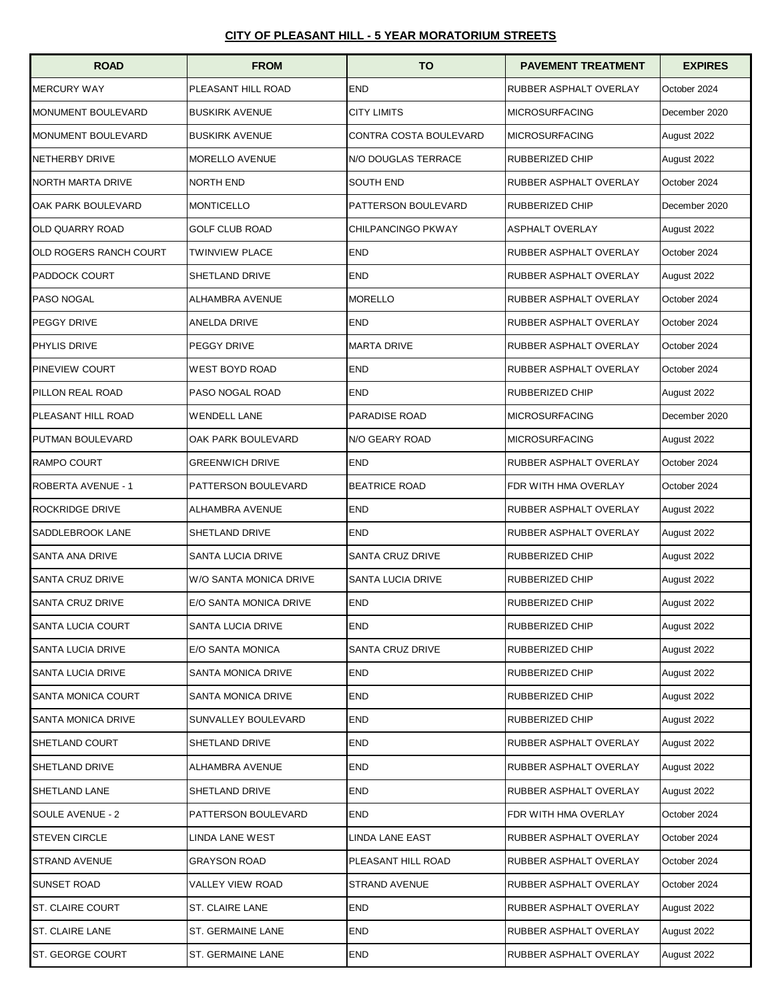| <b>ROAD</b>              | <b>FROM</b>            | <b>TO</b>               | <b>PAVEMENT TREATMENT</b>     | <b>EXPIRES</b> |
|--------------------------|------------------------|-------------------------|-------------------------------|----------------|
| <b>MERCURY WAY</b>       | PLEASANT HILL ROAD     | <b>END</b>              | RUBBER ASPHALT OVERLAY        | October 2024   |
| MONUMENT BOULEVARD       | <b>BUSKIRK AVENUE</b>  | <b>CITY LIMITS</b>      | <b>MICROSURFACING</b>         | December 2020  |
| MONUMENT BOULEVARD       | <b>BUSKIRK AVENUE</b>  | CONTRA COSTA BOULEVARD  | <b>MICROSURFACING</b>         | August 2022    |
| NETHERBY DRIVE           | <b>MORELLO AVENUE</b>  | N/O DOUGLAS TERRACE     | RUBBERIZED CHIP               | August 2022    |
| <b>NORTH MARTA DRIVE</b> | <b>NORTH END</b>       | <b>SOUTH END</b>        | <b>RUBBER ASPHALT OVERLAY</b> | October 2024   |
| OAK PARK BOULEVARD       | <b>MONTICELLO</b>      | PATTERSON BOULEVARD     | RUBBERIZED CHIP               | December 2020  |
| <b>OLD QUARRY ROAD</b>   | <b>GOLF CLUB ROAD</b>  | CHILPANCINGO PKWAY      | <b>ASPHALT OVERLAY</b>        | August 2022    |
| OLD ROGERS RANCH COURT   | <b>TWINVIEW PLACE</b>  | <b>END</b>              | RUBBER ASPHALT OVERLAY        | October 2024   |
| <b>PADDOCK COURT</b>     | SHETLAND DRIVE         | <b>END</b>              | RUBBER ASPHALT OVERLAY        | August 2022    |
| PASO NOGAL               | <b>ALHAMBRA AVENUE</b> | <b>MORELLO</b>          | RUBBER ASPHALT OVERLAY        | October 2024   |
| PEGGY DRIVE              | ANELDA DRIVE           | <b>END</b>              | RUBBER ASPHALT OVERLAY        | October 2024   |
| PHYLIS DRIVE             | PEGGY DRIVE            | <b>MARTA DRIVE</b>      | RUBBER ASPHALT OVERLAY        | October 2024   |
| PINEVIEW COURT           | <b>WEST BOYD ROAD</b>  | <b>END</b>              | RUBBER ASPHALT OVERLAY        | October 2024   |
| PILLON REAL ROAD         | PASO NOGAL ROAD        | <b>END</b>              | RUBBERIZED CHIP               | August 2022    |
| PLEASANT HILL ROAD       | <b>WENDELL LANE</b>    | PARADISE ROAD           | <b>MICROSURFACING</b>         | December 2020  |
| PUTMAN BOULEVARD         | OAK PARK BOULEVARD     | N/O GEARY ROAD          | <b>MICROSURFACING</b>         | August 2022    |
| RAMPO COURT              | <b>GREENWICH DRIVE</b> | <b>END</b>              | RUBBER ASPHALT OVERLAY        | October 2024   |
| ROBERTA AVENUE - 1       | PATTERSON BOULEVARD    | <b>BEATRICE ROAD</b>    | FDR WITH HMA OVERLAY          | October 2024   |
| <b>ROCKRIDGE DRIVE</b>   | ALHAMBRA AVENUE        | <b>END</b>              | RUBBER ASPHALT OVERLAY        | August 2022    |
| SADDLEBROOK LANE         | SHETLAND DRIVE         | <b>END</b>              | RUBBER ASPHALT OVERLAY        | August 2022    |
| SANTA ANA DRIVE          | SANTA LUCIA DRIVE      | <b>SANTA CRUZ DRIVE</b> | RUBBERIZED CHIP               | August 2022    |
| SANTA CRUZ DRIVE         | W/O SANTA MONICA DRIVE | SANTA LUCIA DRIVE       | RUBBERIZED CHIP               | August 2022    |
| SANTA CRUZ DRIVE         | E/O SANTA MONICA DRIVE | <b>END</b>              | <b>RUBBERIZED CHIP</b>        | August 2022    |
| SANTA LUCIA COURT        | SANTA LUCIA DRIVE      | END                     | RUBBERIZED CHIP               | August 2022    |
| SANTA LUCIA DRIVE        | E/O SANTA MONICA       | SANTA CRUZ DRIVE        | RUBBERIZED CHIP               | August 2022    |
| SANTA LUCIA DRIVE        | SANTA MONICA DRIVE     | <b>END</b>              | RUBBERIZED CHIP               | August 2022    |
| SANTA MONICA COURT       | SANTA MONICA DRIVE     | <b>END</b>              | RUBBERIZED CHIP               | August 2022    |
| SANTA MONICA DRIVE       | SUNVALLEY BOULEVARD    | <b>END</b>              | RUBBERIZED CHIP               | August 2022    |
| SHETLAND COURT           | SHETLAND DRIVE         | <b>END</b>              | RUBBER ASPHALT OVERLAY        | August 2022    |
| SHETLAND DRIVE           | ALHAMBRA AVENUE        | <b>END</b>              | RUBBER ASPHALT OVERLAY        | August 2022    |
| SHETLAND LANE            | SHETLAND DRIVE         | <b>END</b>              | RUBBER ASPHALT OVERLAY        | August 2022    |
| SOULE AVENUE - 2         | PATTERSON BOULEVARD    | <b>END</b>              | FDR WITH HMA OVERLAY          | October 2024   |
| STEVEN CIRCLE            | LINDA LANE WEST        | LINDA LANE EAST         | RUBBER ASPHALT OVERLAY        | October 2024   |
| STRAND AVENUE            | GRAYSON ROAD           | PLEASANT HILL ROAD      | RUBBER ASPHALT OVERLAY        | October 2024   |
| SUNSET ROAD              | VALLEY VIEW ROAD       | STRAND AVENUE           | RUBBER ASPHALT OVERLAY        | October 2024   |
| ST. CLAIRE COURT         | ST. CLAIRE LANE        | <b>END</b>              | RUBBER ASPHALT OVERLAY        | August 2022    |
| ST. CLAIRE LANE          | ST. GERMAINE LANE      | <b>END</b>              | RUBBER ASPHALT OVERLAY        | August 2022    |
| ST. GEORGE COURT         | ST. GERMAINE LANE      | <b>END</b>              | RUBBER ASPHALT OVERLAY        | August 2022    |